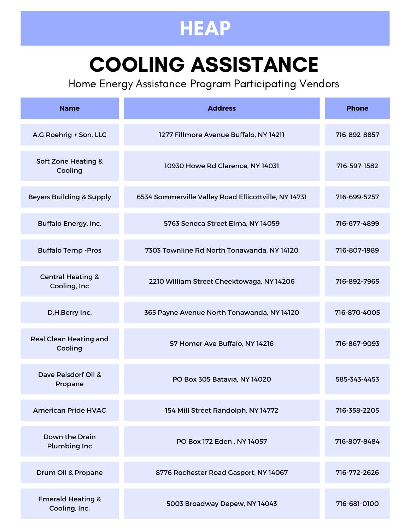# COOLING ASSISTANCE

| <b>Name</b>                                   | <b>Address</b>                                       | <b>Phone</b> |
|-----------------------------------------------|------------------------------------------------------|--------------|
| A.G Roehrig + Son, LLC                        | 1277 Fillmore Avenue Buffalo, NY 14211               | 716-892-8857 |
| <b>Soft Zone Heating &amp;</b><br>Cooling     | 10930 Howe Rd Clarence, NY 14031                     | 716-597-1582 |
| <b>Beyers Building &amp; Supply</b>           | 6534 Sommerville Valley Road Ellicottville, NY 14731 | 716-699-5257 |
| <b>Buffalo Energy, Inc.</b>                   | 5763 Seneca Street Elma, NY 14059                    | 716-677-4899 |
| <b>Buffalo Temp - Pros</b>                    | 7303 Townline Rd North Tonawanda, NY 14120           | 716-807-1989 |
| <b>Central Heating &amp;</b><br>Cooling, Inc  | 2210 William Street Cheektowaga, NY 14206            | 716-892-7965 |
| D.H.Berry Inc.                                | 365 Payne Avenue North Tonawanda, NY 14120           | 716-870-4005 |
| <b>Real Clean Heating and</b><br>Cooling      | 57 Homer Ave Buffalo, NY 14216                       | 716-867-9093 |
| Dave Reisdorf Oil &<br>Propane                | PO Box 305 Batavia, NY 14020                         | 585-343-4453 |
| <b>American Pride HVAC</b>                    | 154 Mill Street Randolph, NY 14772                   | 716-358-2205 |
| Down the Drain<br><b>Plumbing Inc</b>         | PO Box 172 Eden, NY 14057                            | 716-807-8484 |
| Drum Oil & Propane                            | 8776 Rochester Road Gasport, NY 14067                | 716-772-2626 |
| <b>Emerald Heating &amp;</b><br>Cooling, Inc. | 5003 Broadway Depew, NY 14043                        | 716-681-0100 |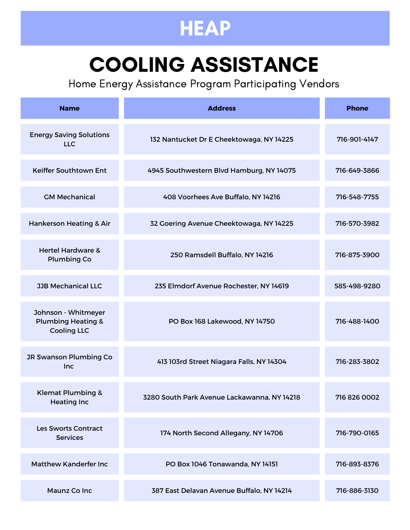# COOLING ASSISTANCE

| <b>Name</b>                                                                | <b>Address</b>                              | <b>Phone</b> |
|----------------------------------------------------------------------------|---------------------------------------------|--------------|
| <b>Energy Saving Solutions</b><br><b>LLC</b>                               | 132 Nantucket Dr E Cheektowaga, NY 14225    | 716-901-4147 |
| <b>Keiffer Southtown Ent</b>                                               | 4945 Southwestern Blvd Hamburg, NY 14075    | 716-649-3866 |
| <b>GM Mechanical</b>                                                       | 408 Voorhees Ave Buffalo, NY 14216          | 716-548-7755 |
| <b>Hankerson Heating &amp; Air</b>                                         | 32 Goering Avenue Cheektowaga, NY 14225     | 716-570-3982 |
| <b>Hertel Hardware &amp;</b><br><b>Plumbing Co</b>                         | 250 Ramsdell Buffalo, NY 14216              | 716-875-3900 |
| <b>JJB Mechanical LLC</b>                                                  | 235 Elmdorf Avenue Rochester, NY 14619      | 585-498-9280 |
| Johnson - Whitmeyer<br><b>Plumbing Heating &amp;</b><br><b>Cooling LLC</b> | PO Box 168 Lakewood, NY 14750               | 716-488-1400 |
| JR Swanson Plumbing Co<br><b>Inc</b>                                       | 413 103rd Street Niagara Falls, NY 14304    | 716-283-3802 |
| <b>Klemat Plumbing &amp;</b><br><b>Heating Inc</b>                         | 3280 South Park Avenue Lackawanna, NY 14218 | 716 826 0002 |
| <b>Les Sworts Contract</b><br><b>Services</b>                              | 174 North Second Allegany, NY 14706         | 716-790-0165 |
| Matthew Kanderfer Inc                                                      | PO Box 1046 Tonawanda, NY 14151             | 716-893-8376 |
| <b>Maunz Co Inc</b>                                                        | 387 East Delavan Avenue Buffalo, NY 14214   | 716-886-3130 |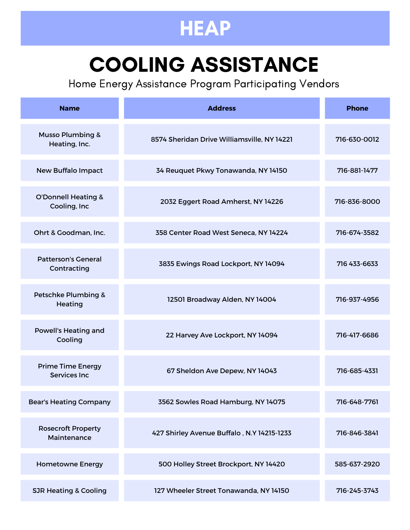# COOLING ASSISTANCE

| <b>Name</b>                                      | <b>Address</b>                              | <b>Phone</b> |
|--------------------------------------------------|---------------------------------------------|--------------|
| <b>Musso Plumbing &amp;</b><br>Heating, Inc.     | 8574 Sheridan Drive Williamsville, NY 14221 | 716-630-0012 |
| <b>New Buffalo Impact</b>                        | 34 Reuquet Pkwy Tonawanda, NY 14150         | 716-881-1477 |
| <b>O'Donnell Heating &amp;</b><br>Cooling, Inc   | 2032 Eggert Road Amherst, NY 14226          | 716-836-8000 |
| Ohrt & Goodman, Inc.                             | 358 Center Road West Seneca, NY 14224       | 716-674-3582 |
| <b>Patterson's General</b><br>Contracting        | 3835 Ewings Road Lockport, NY 14094         | 716 433-6633 |
| Petschke Plumbing &<br>Heating                   | 12501 Broadway Alden, NY 14004              | 716-937-4956 |
| <b>Powell's Heating and</b><br>Cooling           | 22 Harvey Ave Lockport, NY 14094            | 716-417-6686 |
| <b>Prime Time Energy</b><br><b>Services Inc.</b> | 67 Sheldon Ave Depew, NY 14043              | 716-685-4331 |
| <b>Bear's Heating Company</b>                    | 3562 Sowles Road Hamburg, NY 14075          | 716-648-7761 |
| <b>Rosecroft Property</b><br>Maintenance         | 427 Shirley Avenue Buffalo, N.Y 14215-1233  | 716-846-3841 |
| <b>Hometowne Energy</b>                          | 500 Holley Street Brockport, NY 14420       | 585-637-2920 |
| <b>SJR Heating &amp; Cooling</b>                 | 127 Wheeler Street Tonawanda, NY 14150      | 716-245-3743 |